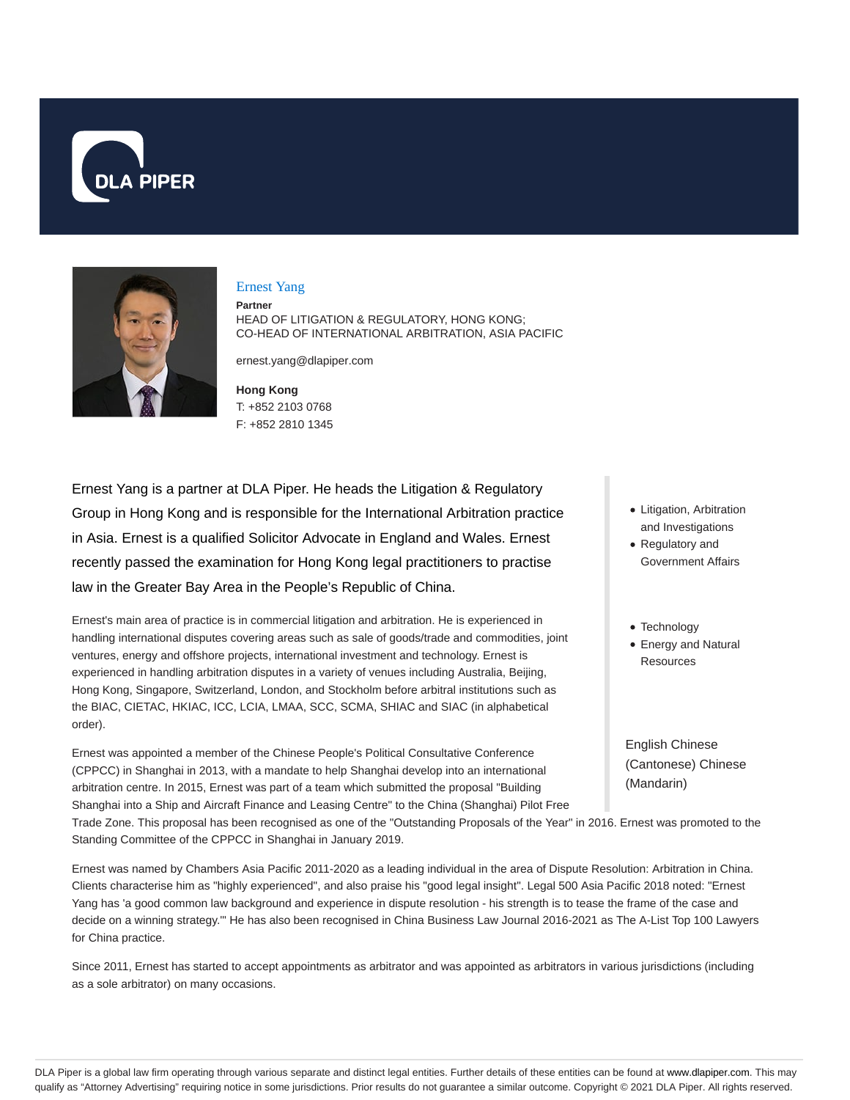



### Ernest Yang

**Partner**

HEAD OF LITIGATION & REGULATORY, HONG KONG; CO-HEAD OF INTERNATIONAL ARBITRATION, ASIA PACIFIC

ernest.yang@dlapiper.com

**Hong Kong** T: +852 2103 0768 F: +852 2810 1345

Ernest Yang is a partner at DLA Piper. He heads the Litigation & Regulatory Group in Hong Kong and is responsible for the International Arbitration practice in Asia. Ernest is a qualified Solicitor Advocate in England and Wales. Ernest recently passed the examination for Hong Kong legal practitioners to practise law in the Greater Bay Area in the People's Republic of China.

Ernest's main area of practice is in commercial litigation and arbitration. He is experienced in handling international disputes covering areas such as sale of goods/trade and commodities, joint ventures, energy and offshore projects, international investment and technology. Ernest is experienced in handling arbitration disputes in a variety of venues including Australia, Beijing, Hong Kong, Singapore, Switzerland, London, and Stockholm before arbitral institutions such as the BIAC, CIETAC, HKIAC, ICC, LCIA, LMAA, SCC, SCMA, SHIAC and SIAC (in alphabetical order).

Ernest was appointed a member of the Chinese People's Political Consultative Conference (CPPCC) in Shanghai in 2013, with a mandate to help Shanghai develop into an international arbitration centre. In 2015, Ernest was part of a team which submitted the proposal "Building Shanghai into a Ship and Aircraft Finance and Leasing Centre" to the China (Shanghai) Pilot Free • Litigation, Arbitration and Investigations

- Regulatory and Government Affairs
- Technology
- Energy and Natural Resources

English Chinese (Cantonese) Chinese (Mandarin)

Trade Zone. This proposal has been recognised as one of the "Outstanding Proposals of the Year" in 2016. Ernest was promoted to the Standing Committee of the CPPCC in Shanghai in January 2019.

Ernest was named by Chambers Asia Pacific 2011-2020 as a leading individual in the area of Dispute Resolution: Arbitration in China. Clients characterise him as "highly experienced", and also praise his "good legal insight". Legal 500 Asia Pacific 2018 noted: "Ernest Yang has 'a good common law background and experience in dispute resolution - his strength is to tease the frame of the case and decide on a winning strategy.'" He has also been recognised in China Business Law Journal 2016-2021 as The A-List Top 100 Lawyers for China practice.

Since 2011, Ernest has started to accept appointments as arbitrator and was appointed as arbitrators in various jurisdictions (including as a sole arbitrator) on many occasions.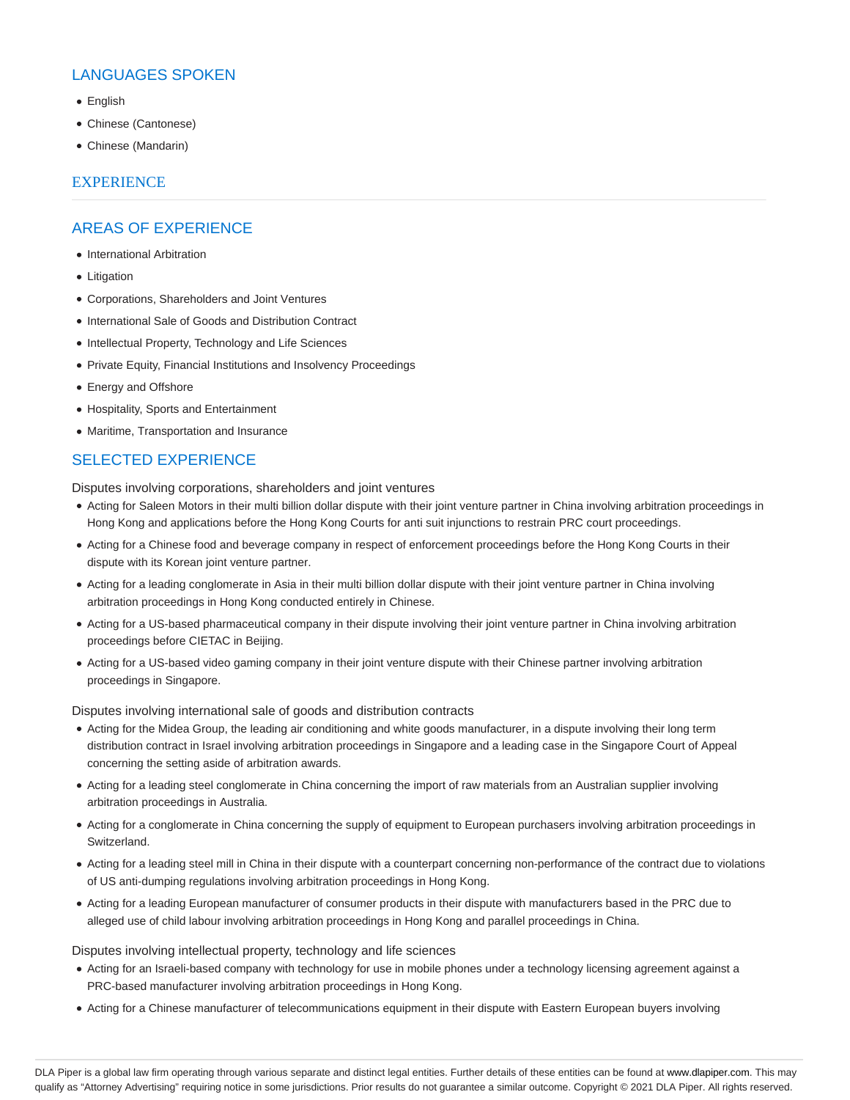# LANGUAGES SPOKEN

- English
- Chinese (Cantonese)
- Chinese (Mandarin)

### **EXPERIENCE**

## AREAS OF EXPERIENCE

- International Arbitration
- Litigation
- Corporations, Shareholders and Joint Ventures
- International Sale of Goods and Distribution Contract
- Intellectual Property, Technology and Life Sciences
- Private Equity, Financial Institutions and Insolvency Proceedings
- Energy and Offshore
- Hospitality, Sports and Entertainment
- Maritime, Transportation and Insurance

## SELECTED EXPERIENCE

Disputes involving corporations, shareholders and joint ventures

- Acting for Saleen Motors in their multi billion dollar dispute with their joint venture partner in China involving arbitration proceedings in Hong Kong and applications before the Hong Kong Courts for anti suit injunctions to restrain PRC court proceedings.
- Acting for a Chinese food and beverage company in respect of enforcement proceedings before the Hong Kong Courts in their dispute with its Korean joint venture partner.
- Acting for a leading conglomerate in Asia in their multi billion dollar dispute with their joint venture partner in China involving arbitration proceedings in Hong Kong conducted entirely in Chinese.
- Acting for a US-based pharmaceutical company in their dispute involving their joint venture partner in China involving arbitration proceedings before CIETAC in Beijing.
- Acting for a US-based video gaming company in their joint venture dispute with their Chinese partner involving arbitration proceedings in Singapore.

Disputes involving international sale of goods and distribution contracts

- Acting for the Midea Group, the leading air conditioning and white goods manufacturer, in a dispute involving their long term distribution contract in Israel involving arbitration proceedings in Singapore and a leading case in the Singapore Court of Appeal concerning the setting aside of arbitration awards.
- Acting for a leading steel conglomerate in China concerning the import of raw materials from an Australian supplier involving arbitration proceedings in Australia.
- Acting for a conglomerate in China concerning the supply of equipment to European purchasers involving arbitration proceedings in Switzerland.
- Acting for a leading steel mill in China in their dispute with a counterpart concerning non-performance of the contract due to violations of US anti-dumping regulations involving arbitration proceedings in Hong Kong.
- Acting for a leading European manufacturer of consumer products in their dispute with manufacturers based in the PRC due to alleged use of child labour involving arbitration proceedings in Hong Kong and parallel proceedings in China.

Disputes involving intellectual property, technology and life sciences

- Acting for an Israeli-based company with technology for use in mobile phones under a technology licensing agreement against a PRC-based manufacturer involving arbitration proceedings in Hong Kong.
- Acting for a Chinese manufacturer of telecommunications equipment in their dispute with Eastern European buyers involving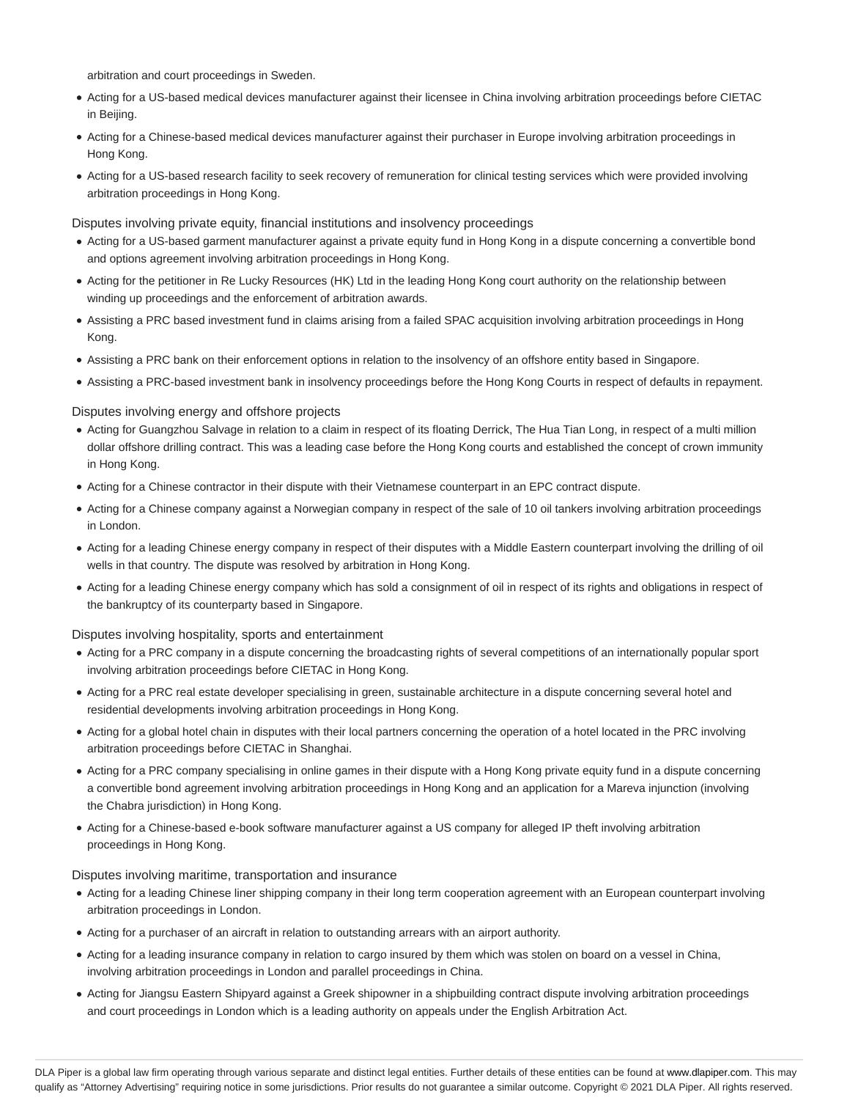arbitration and court proceedings in Sweden.

- Acting for a US-based medical devices manufacturer against their licensee in China involving arbitration proceedings before CIETAC in Beijing.
- Acting for a Chinese-based medical devices manufacturer against their purchaser in Europe involving arbitration proceedings in Hong Kong.
- Acting for a US-based research facility to seek recovery of remuneration for clinical testing services which were provided involving arbitration proceedings in Hong Kong.

Disputes involving private equity, financial institutions and insolvency proceedings

- Acting for a US-based garment manufacturer against a private equity fund in Hong Kong in a dispute concerning a convertible bond and options agreement involving arbitration proceedings in Hong Kong.
- Acting for the petitioner in Re Lucky Resources (HK) Ltd in the leading Hong Kong court authority on the relationship between winding up proceedings and the enforcement of arbitration awards.
- Assisting a PRC based investment fund in claims arising from a failed SPAC acquisition involving arbitration proceedings in Hong Kong.
- Assisting a PRC bank on their enforcement options in relation to the insolvency of an offshore entity based in Singapore.
- Assisting a PRC-based investment bank in insolvency proceedings before the Hong Kong Courts in respect of defaults in repayment.

Disputes involving energy and offshore projects

- Acting for Guangzhou Salvage in relation to a claim in respect of its floating Derrick, The Hua Tian Long, in respect of a multi million dollar offshore drilling contract. This was a leading case before the Hong Kong courts and established the concept of crown immunity in Hong Kong.
- Acting for a Chinese contractor in their dispute with their Vietnamese counterpart in an EPC contract dispute.
- Acting for a Chinese company against a Norwegian company in respect of the sale of 10 oil tankers involving arbitration proceedings in London.
- Acting for a leading Chinese energy company in respect of their disputes with a Middle Eastern counterpart involving the drilling of oil wells in that country. The dispute was resolved by arbitration in Hong Kong.
- Acting for a leading Chinese energy company which has sold a consignment of oil in respect of its rights and obligations in respect of the bankruptcy of its counterparty based in Singapore.

Disputes involving hospitality, sports and entertainment

- Acting for a PRC company in a dispute concerning the broadcasting rights of several competitions of an internationally popular sport involving arbitration proceedings before CIETAC in Hong Kong.
- Acting for a PRC real estate developer specialising in green, sustainable architecture in a dispute concerning several hotel and residential developments involving arbitration proceedings in Hong Kong.
- Acting for a global hotel chain in disputes with their local partners concerning the operation of a hotel located in the PRC involving arbitration proceedings before CIETAC in Shanghai.
- Acting for a PRC company specialising in online games in their dispute with a Hong Kong private equity fund in a dispute concerning a convertible bond agreement involving arbitration proceedings in Hong Kong and an application for a Mareva injunction (involving the Chabra jurisdiction) in Hong Kong.
- Acting for a Chinese-based e-book software manufacturer against a US company for alleged IP theft involving arbitration proceedings in Hong Kong.

Disputes involving maritime, transportation and insurance

- Acting for a leading Chinese liner shipping company in their long term cooperation agreement with an European counterpart involving arbitration proceedings in London.
- Acting for a purchaser of an aircraft in relation to outstanding arrears with an airport authority.
- Acting for a leading insurance company in relation to cargo insured by them which was stolen on board on a vessel in China, involving arbitration proceedings in London and parallel proceedings in China.
- Acting for Jiangsu Eastern Shipyard against a Greek shipowner in a shipbuilding contract dispute involving arbitration proceedings and court proceedings in London which is a leading authority on appeals under the English Arbitration Act.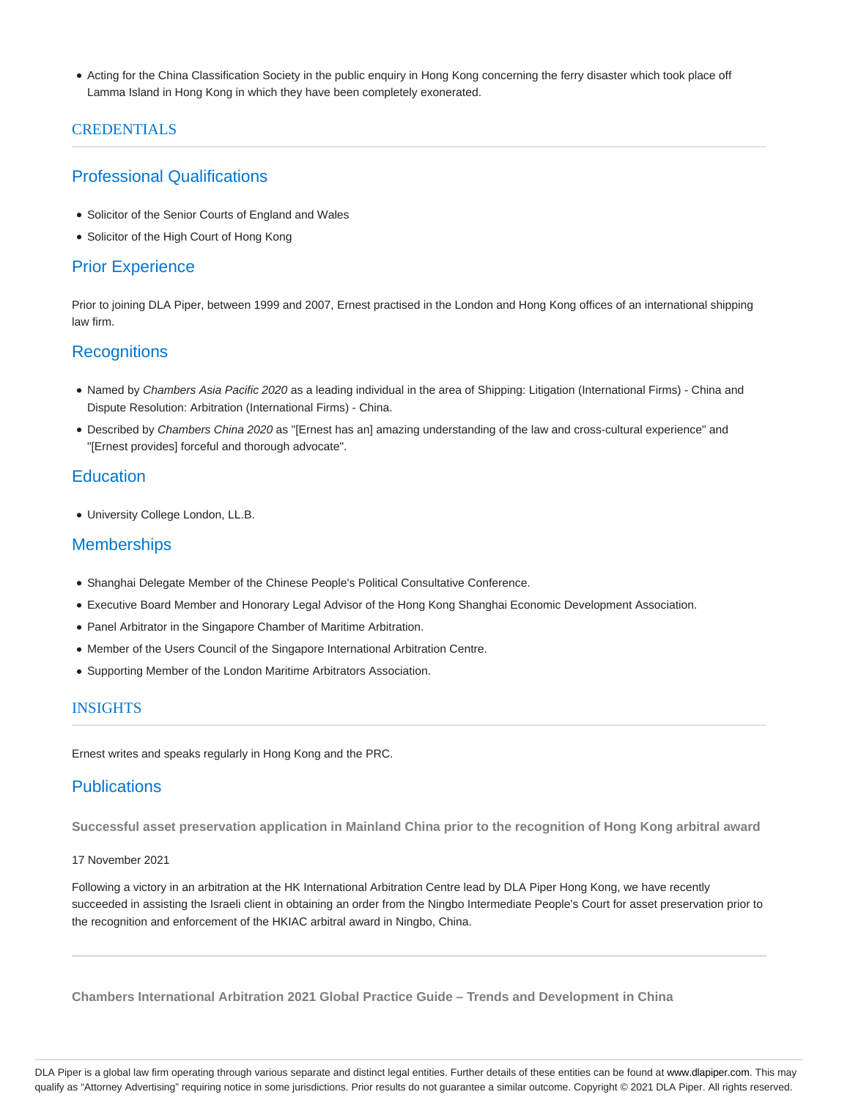Acting for the China Classification Society in the public enquiry in Hong Kong concerning the ferry disaster which took place off Lamma Island in Hong Kong in which they have been completely exonerated.

# CREDENTIALS

# Professional Qualifications

- Solicitor of the Senior Courts of England and Wales
- Solicitor of the High Court of Hong Kong

# Prior Experience

Prior to joining DLA Piper, between 1999 and 2007, Ernest practised in the London and Hong Kong offices of an international shipping law firm.

# **Recognitions**

- Named by Chambers Asia Pacific 2020 as a leading individual in the area of Shipping: Litigation (International Firms) China and Dispute Resolution: Arbitration (International Firms) - China.
- Described by Chambers China 2020 as "[Ernest has an] amazing understanding of the law and cross-cultural experience" and "[Ernest provides] forceful and thorough advocate".

# **Education**

University College London, LL.B.

# **Memberships**

- Shanghai Delegate Member of the Chinese People's Political Consultative Conference.
- Executive Board Member and Honorary Legal Advisor of the Hong Kong Shanghai Economic Development Association.
- Panel Arbitrator in the Singapore Chamber of Maritime Arbitration.
- Member of the Users Council of the Singapore International Arbitration Centre.
- Supporting Member of the London Maritime Arbitrators Association.

### INSIGHTS

Ernest writes and speaks regularly in Hong Kong and the PRC.

# **Publications**

**Successful asset preservation application in Mainland China prior to the recognition of Hong Kong arbitral award**

### 17 November 2021

Following a victory in an arbitration at the HK International Arbitration Centre lead by DLA Piper Hong Kong, we have recently succeeded in assisting the Israeli client in obtaining an order from the Ningbo Intermediate People's Court for asset preservation prior to the recognition and enforcement of the HKIAC arbitral award in Ningbo, China.

**Chambers International Arbitration 2021 Global Practice Guide – Trends and Development in China**

DLA Piper is a global law firm operating through various separate and distinct legal entities. Further details of these entities can be found at www.dlapiper.com. This may qualify as "Attorney Advertising" requiring notice in some jurisdictions. Prior results do not guarantee a similar outcome. Copyright © 2021 DLA Piper. All rights reserved.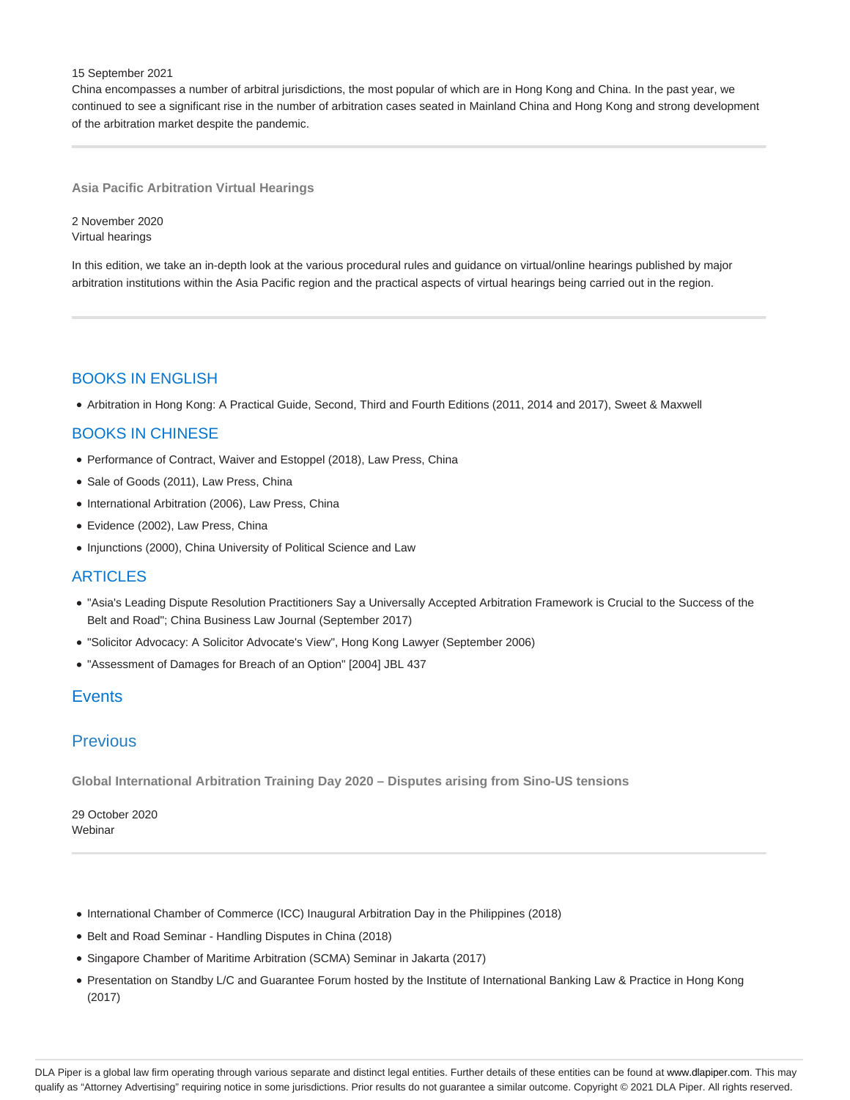#### 15 September 2021

China encompasses a number of arbitral jurisdictions, the most popular of which are in Hong Kong and China. In the past year, we continued to see a significant rise in the number of arbitration cases seated in Mainland China and Hong Kong and strong development of the arbitration market despite the pandemic.

#### **Asia Pacific Arbitration Virtual Hearings**

2 November 2020 Virtual hearings

In this edition, we take an in-depth look at the various procedural rules and guidance on virtual/online hearings published by major arbitration institutions within the Asia Pacific region and the practical aspects of virtual hearings being carried out in the region.

# BOOKS IN ENGLISH

Arbitration in Hong Kong: A Practical Guide, Second, Third and Fourth Editions (2011, 2014 and 2017), Sweet & Maxwell

# BOOKS IN CHINESE

- Performance of Contract, Waiver and Estoppel (2018), Law Press, China
- Sale of Goods (2011), Law Press, China
- International Arbitration (2006), Law Press, China
- Evidence (2002), Law Press, China
- Injunctions (2000), China University of Political Science and Law

## **ARTICLES**

- "Asia's Leading Dispute Resolution Practitioners Say a Universally Accepted Arbitration Framework is Crucial to the Success of the Belt and Road"; China Business Law Journal (September 2017)
- "Solicitor Advocacy: A Solicitor Advocate's View", Hong Kong Lawyer (September 2006)
- "Assessment of Damages for Breach of an Option" [2004] JBL 437

## **Events**

# Previous

**Global International Arbitration Training Day 2020 – Disputes arising from Sino-US tensions**

29 October 2020 Webinar

- International Chamber of Commerce (ICC) Inaugural Arbitration Day in the Philippines (2018)
- Belt and Road Seminar Handling Disputes in China (2018)
- Singapore Chamber of Maritime Arbitration (SCMA) Seminar in Jakarta (2017)
- Presentation on Standby L/C and Guarantee Forum hosted by the Institute of International Banking Law & Practice in Hong Kong (2017)

DLA Piper is a global law firm operating through various separate and distinct legal entities. Further details of these entities can be found at www.dlapiper.com. This may qualify as "Attorney Advertising" requiring notice in some jurisdictions. Prior results do not guarantee a similar outcome. Copyright @ 2021 DLA Piper. All rights reserved.